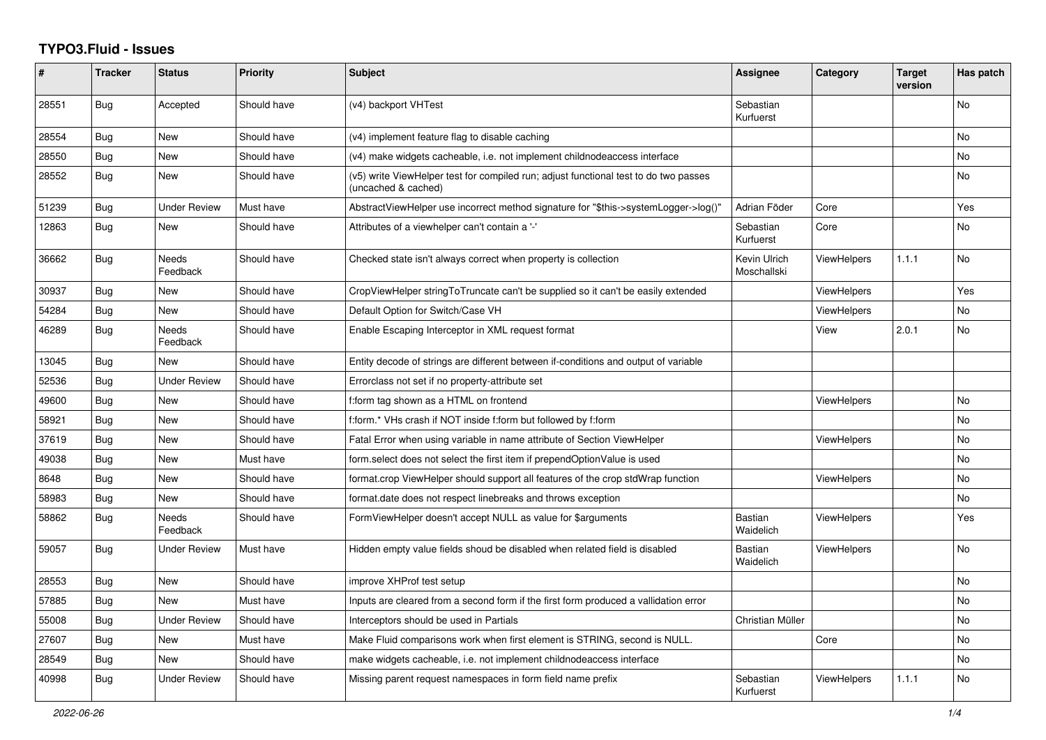## **TYPO3.Fluid - Issues**

| #     | <b>Tracker</b> | <b>Status</b>            | Priority    | <b>Subject</b>                                                                                              | Assignee                    | Category           | <b>Target</b><br>version | Has patch |
|-------|----------------|--------------------------|-------------|-------------------------------------------------------------------------------------------------------------|-----------------------------|--------------------|--------------------------|-----------|
| 28551 | Bug            | Accepted                 | Should have | (v4) backport VHTest                                                                                        | Sebastian<br>Kurfuerst      |                    |                          | No        |
| 28554 | Bug            | New                      | Should have | (v4) implement feature flag to disable caching                                                              |                             |                    |                          | No        |
| 28550 | <b>Bug</b>     | <b>New</b>               | Should have | (v4) make widgets cacheable, i.e. not implement childnodeaccess interface                                   |                             |                    |                          | No        |
| 28552 | Bug            | New                      | Should have | (v5) write ViewHelper test for compiled run; adjust functional test to do two passes<br>(uncached & cached) |                             |                    |                          | No.       |
| 51239 | Bug            | <b>Under Review</b>      | Must have   | AbstractViewHelper use incorrect method signature for "\$this->systemLogger->log()"                         | Adrian Föder                | Core               |                          | Yes       |
| 12863 | Bug            | New                      | Should have | Attributes of a viewhelper can't contain a '-'                                                              | Sebastian<br>Kurfuerst      | Core               |                          | No        |
| 36662 | Bug            | Needs<br>Feedback        | Should have | Checked state isn't always correct when property is collection                                              | Kevin Ulrich<br>Moschallski | <b>ViewHelpers</b> | 1.1.1                    | No        |
| 30937 | Bug            | New                      | Should have | CropViewHelper stringToTruncate can't be supplied so it can't be easily extended                            |                             | <b>ViewHelpers</b> |                          | Yes       |
| 54284 | Bug            | New                      | Should have | Default Option for Switch/Case VH                                                                           |                             | <b>ViewHelpers</b> |                          | No        |
| 46289 | <b>Bug</b>     | <b>Needs</b><br>Feedback | Should have | Enable Escaping Interceptor in XML request format                                                           |                             | View               | 2.0.1                    | No.       |
| 13045 | Bug            | New                      | Should have | Entity decode of strings are different between if-conditions and output of variable                         |                             |                    |                          |           |
| 52536 | Bug            | <b>Under Review</b>      | Should have | Errorclass not set if no property-attribute set                                                             |                             |                    |                          |           |
| 49600 | Bug            | New                      | Should have | f:form tag shown as a HTML on frontend                                                                      |                             | ViewHelpers        |                          | No        |
| 58921 | Bug            | New                      | Should have | f:form.* VHs crash if NOT inside f:form but followed by f:form                                              |                             |                    |                          | No        |
| 37619 | <b>Bug</b>     | <b>New</b>               | Should have | Fatal Error when using variable in name attribute of Section ViewHelper                                     |                             | <b>ViewHelpers</b> |                          | No        |
| 49038 | Bug            | <b>New</b>               | Must have   | form select does not select the first item if prependOptionValue is used                                    |                             |                    |                          | No        |
| 8648  | Bug            | New                      | Should have | format.crop ViewHelper should support all features of the crop stdWrap function                             |                             | <b>ViewHelpers</b> |                          | No        |
| 58983 | Bug            | <b>New</b>               | Should have | format.date does not respect linebreaks and throws exception                                                |                             |                    |                          | No        |
| 58862 | Bug            | <b>Needs</b><br>Feedback | Should have | FormViewHelper doesn't accept NULL as value for \$arguments                                                 | <b>Bastian</b><br>Waidelich | <b>ViewHelpers</b> |                          | Yes       |
| 59057 | Bug            | <b>Under Review</b>      | Must have   | Hidden empty value fields shoud be disabled when related field is disabled                                  | <b>Bastian</b><br>Waidelich | <b>ViewHelpers</b> |                          | No        |
| 28553 | Bug            | New                      | Should have | improve XHProf test setup                                                                                   |                             |                    |                          | No        |
| 57885 | Bug            | New                      | Must have   | Inputs are cleared from a second form if the first form produced a vallidation error                        |                             |                    |                          | No        |
| 55008 | Bug            | <b>Under Review</b>      | Should have | Interceptors should be used in Partials                                                                     | Christian Müller            |                    |                          | No        |
| 27607 | Bug            | New                      | Must have   | Make Fluid comparisons work when first element is STRING, second is NULL.                                   |                             | Core               |                          | No        |
| 28549 | Bug            | New                      | Should have | make widgets cacheable, i.e. not implement childnodeaccess interface                                        |                             |                    |                          | No        |
| 40998 | Bug            | <b>Under Review</b>      | Should have | Missing parent request namespaces in form field name prefix                                                 | Sebastian<br>Kurfuerst      | ViewHelpers        | 1.1.1                    | No.       |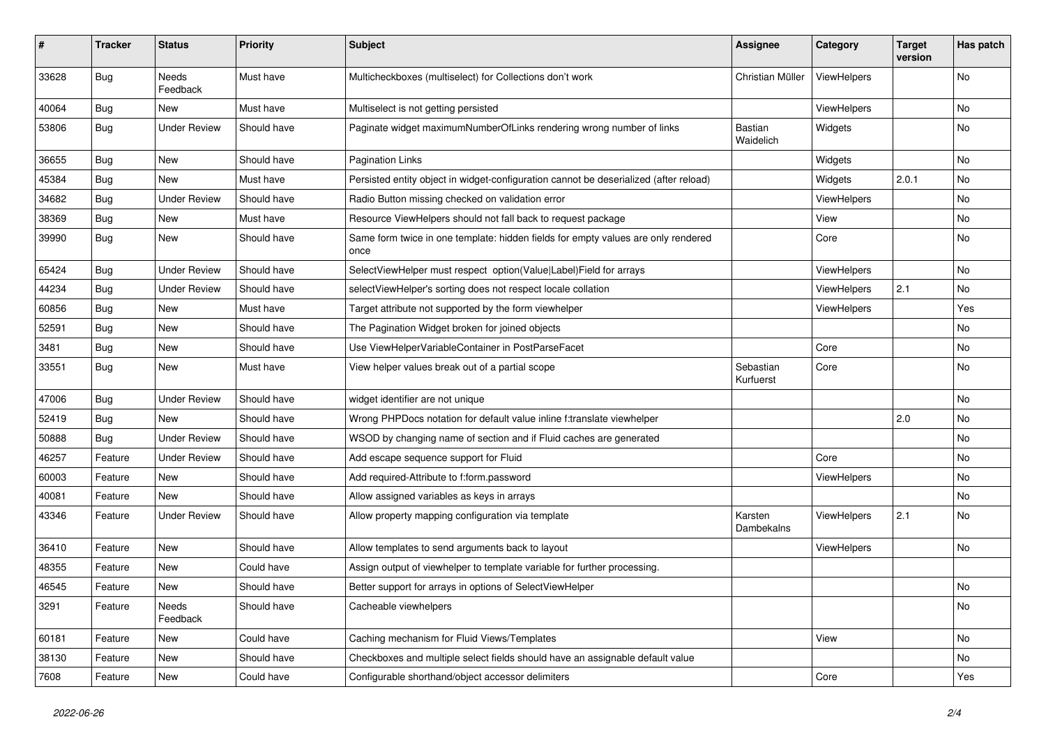| $\pmb{\#}$ | <b>Tracker</b> | <b>Status</b>       | <b>Priority</b> | <b>Subject</b>                                                                            | Assignee               | Category           | <b>Target</b><br>version | Has patch |
|------------|----------------|---------------------|-----------------|-------------------------------------------------------------------------------------------|------------------------|--------------------|--------------------------|-----------|
| 33628      | Bug            | Needs<br>Feedback   | Must have       | Multicheckboxes (multiselect) for Collections don't work                                  | Christian Müller       | ViewHelpers        |                          | <b>No</b> |
| 40064      | Bug            | New                 | Must have       | Multiselect is not getting persisted                                                      |                        | ViewHelpers        |                          | No        |
| 53806      | Bug            | <b>Under Review</b> | Should have     | Paginate widget maximumNumberOfLinks rendering wrong number of links                      | Bastian<br>Waidelich   | Widgets            |                          | No        |
| 36655      | <b>Bug</b>     | <b>New</b>          | Should have     | Pagination Links                                                                          |                        | Widgets            |                          | No        |
| 45384      | Bug            | New                 | Must have       | Persisted entity object in widget-configuration cannot be deserialized (after reload)     |                        | Widgets            | 2.0.1                    | No        |
| 34682      | Bug            | <b>Under Review</b> | Should have     | Radio Button missing checked on validation error                                          |                        | ViewHelpers        |                          | <b>No</b> |
| 38369      | Bug            | New                 | Must have       | Resource ViewHelpers should not fall back to request package                              |                        | View               |                          | No        |
| 39990      | Bug            | New                 | Should have     | Same form twice in one template: hidden fields for empty values are only rendered<br>once |                        | Core               |                          | No        |
| 65424      | Bug            | <b>Under Review</b> | Should have     | SelectViewHelper must respect option(Value Label)Field for arrays                         |                        | ViewHelpers        |                          | No        |
| 44234      | Bug            | <b>Under Review</b> | Should have     | selectViewHelper's sorting does not respect locale collation                              |                        | ViewHelpers        | 2.1                      | No        |
| 60856      | Bug            | New                 | Must have       | Target attribute not supported by the form viewhelper                                     |                        | ViewHelpers        |                          | Yes       |
| 52591      | Bug            | New                 | Should have     | The Pagination Widget broken for joined objects                                           |                        |                    |                          | No        |
| 3481       | <b>Bug</b>     | New                 | Should have     | Use ViewHelperVariableContainer in PostParseFacet                                         |                        | Core               |                          | No        |
| 33551      | Bug            | New                 | Must have       | View helper values break out of a partial scope                                           | Sebastian<br>Kurfuerst | Core               |                          | No        |
| 47006      | Bug            | <b>Under Review</b> | Should have     | widget identifier are not unique                                                          |                        |                    |                          | No        |
| 52419      | Bug            | New                 | Should have     | Wrong PHPDocs notation for default value inline f:translate viewhelper                    |                        |                    | 2.0                      | No        |
| 50888      | <b>Bug</b>     | <b>Under Review</b> | Should have     | WSOD by changing name of section and if Fluid caches are generated                        |                        |                    |                          | No        |
| 46257      | Feature        | <b>Under Review</b> | Should have     | Add escape sequence support for Fluid                                                     |                        | Core               |                          | No        |
| 60003      | Feature        | New                 | Should have     | Add required-Attribute to f:form.password                                                 |                        | ViewHelpers        |                          | No        |
| 40081      | Feature        | New                 | Should have     | Allow assigned variables as keys in arrays                                                |                        |                    |                          | No        |
| 43346      | Feature        | <b>Under Review</b> | Should have     | Allow property mapping configuration via template                                         | Karsten<br>Dambekalns  | <b>ViewHelpers</b> | 2.1                      | No        |
| 36410      | Feature        | <b>New</b>          | Should have     | Allow templates to send arguments back to layout                                          |                        | ViewHelpers        |                          | No        |
| 48355      | Feature        | New                 | Could have      | Assign output of viewhelper to template variable for further processing.                  |                        |                    |                          |           |
| 46545      | Feature        | New                 | Should have     | Better support for arrays in options of SelectViewHelper                                  |                        |                    |                          | No        |
| 3291       | Feature        | Needs<br>Feedback   | Should have     | Cacheable viewhelpers                                                                     |                        |                    |                          | No        |
| 60181      | Feature        | New                 | Could have      | Caching mechanism for Fluid Views/Templates                                               |                        | View               |                          | No        |
| 38130      | Feature        | New                 | Should have     | Checkboxes and multiple select fields should have an assignable default value             |                        |                    |                          | No        |
| 7608       | Feature        | New                 | Could have      | Configurable shorthand/object accessor delimiters                                         |                        | Core               |                          | Yes       |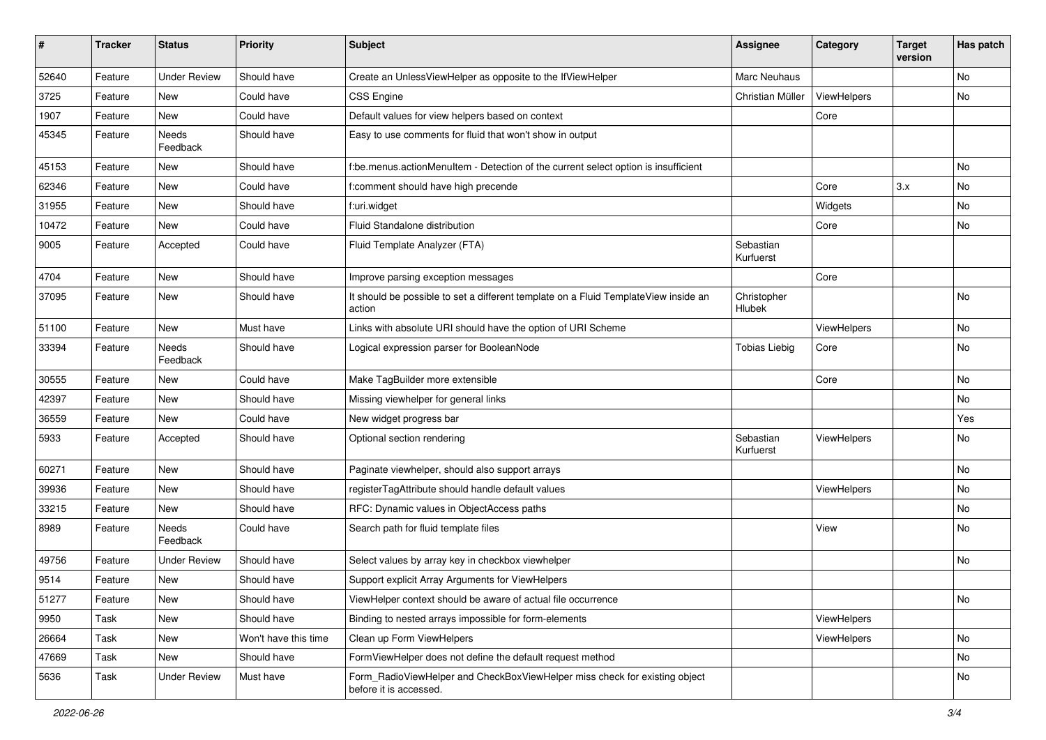| #     | <b>Tracker</b> | <b>Status</b>       | <b>Priority</b>      | <b>Subject</b>                                                                                       | <b>Assignee</b>        | Category    | <b>Target</b><br>version | Has patch |
|-------|----------------|---------------------|----------------------|------------------------------------------------------------------------------------------------------|------------------------|-------------|--------------------------|-----------|
| 52640 | Feature        | <b>Under Review</b> | Should have          | Create an UnlessViewHelper as opposite to the IfViewHelper                                           | Marc Neuhaus           |             |                          | No        |
| 3725  | Feature        | New                 | Could have           | <b>CSS Engine</b>                                                                                    | Christian Müller       | ViewHelpers |                          | No        |
| 1907  | Feature        | New                 | Could have           | Default values for view helpers based on context                                                     |                        | Core        |                          |           |
| 45345 | Feature        | Needs<br>Feedback   | Should have          | Easy to use comments for fluid that won't show in output                                             |                        |             |                          |           |
| 45153 | Feature        | New                 | Should have          | f:be.menus.actionMenuItem - Detection of the current select option is insufficient                   |                        |             |                          | No        |
| 62346 | Feature        | New                 | Could have           | f:comment should have high precende                                                                  |                        | Core        | 3.x                      | No        |
| 31955 | Feature        | New                 | Should have          | f:uri.widget                                                                                         |                        | Widgets     |                          | No        |
| 10472 | Feature        | New                 | Could have           | Fluid Standalone distribution                                                                        |                        | Core        |                          | No        |
| 9005  | Feature        | Accepted            | Could have           | Fluid Template Analyzer (FTA)                                                                        | Sebastian<br>Kurfuerst |             |                          |           |
| 4704  | Feature        | New                 | Should have          | Improve parsing exception messages                                                                   |                        | Core        |                          |           |
| 37095 | Feature        | New                 | Should have          | It should be possible to set a different template on a Fluid TemplateView inside an<br>action        | Christopher<br>Hlubek  |             |                          | No        |
| 51100 | Feature        | New                 | Must have            | Links with absolute URI should have the option of URI Scheme                                         |                        | ViewHelpers |                          | No        |
| 33394 | Feature        | Needs<br>Feedback   | Should have          | Logical expression parser for BooleanNode                                                            | <b>Tobias Liebig</b>   | Core        |                          | No        |
| 30555 | Feature        | New                 | Could have           | Make TagBuilder more extensible                                                                      |                        | Core        |                          | No        |
| 42397 | Feature        | New                 | Should have          | Missing viewhelper for general links                                                                 |                        |             |                          | No        |
| 36559 | Feature        | <b>New</b>          | Could have           | New widget progress bar                                                                              |                        |             |                          | Yes       |
| 5933  | Feature        | Accepted            | Should have          | Optional section rendering                                                                           | Sebastian<br>Kurfuerst | ViewHelpers |                          | No        |
| 60271 | Feature        | New                 | Should have          | Paginate viewhelper, should also support arrays                                                      |                        |             |                          | No        |
| 39936 | Feature        | New                 | Should have          | registerTagAttribute should handle default values                                                    |                        | ViewHelpers |                          | No        |
| 33215 | Feature        | New                 | Should have          | RFC: Dynamic values in ObjectAccess paths                                                            |                        |             |                          | No        |
| 8989  | Feature        | Needs<br>Feedback   | Could have           | Search path for fluid template files                                                                 |                        | View        |                          | No        |
| 49756 | Feature        | <b>Under Review</b> | Should have          | Select values by array key in checkbox viewhelper                                                    |                        |             |                          | No        |
| 9514  | Feature        | New                 | Should have          | Support explicit Array Arguments for ViewHelpers                                                     |                        |             |                          |           |
| 51277 | Feature        | New                 | Should have          | ViewHelper context should be aware of actual file occurrence                                         |                        |             |                          | No        |
| 9950  | Task           | New                 | Should have          | Binding to nested arrays impossible for form-elements                                                |                        | ViewHelpers |                          |           |
| 26664 | Task           | New                 | Won't have this time | Clean up Form ViewHelpers                                                                            |                        | ViewHelpers |                          | No        |
| 47669 | Task           | New                 | Should have          | FormViewHelper does not define the default request method                                            |                        |             |                          | No        |
| 5636  | Task           | <b>Under Review</b> | Must have            | Form_RadioViewHelper and CheckBoxViewHelper miss check for existing object<br>before it is accessed. |                        |             |                          | No        |